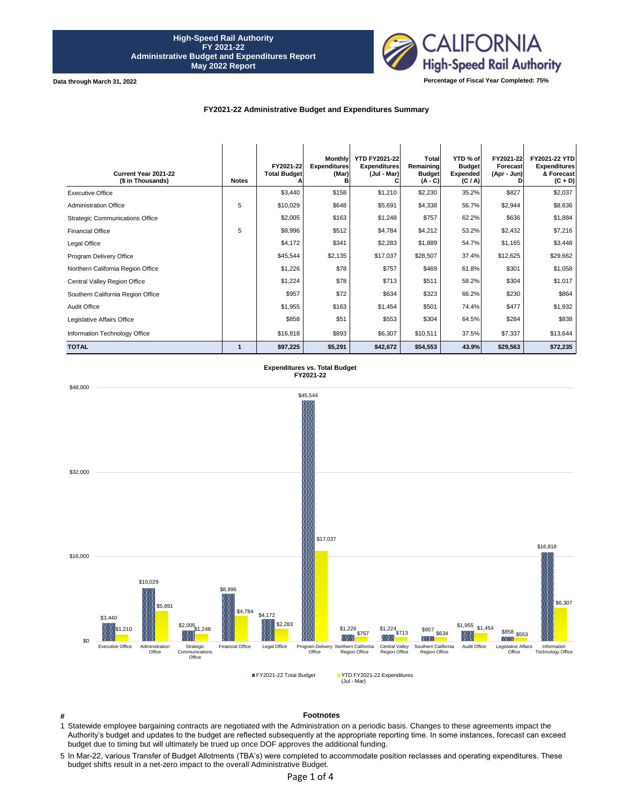

**Data through March 31, 2022**

#### **FY2021-22 Administrative Budget and Expenditures Summary**

| Current Year 2021-22<br>(\$ in Thousands) | <b>Notes</b> | FY2021-22<br><b>Total Budget</b> | <b>Monthly</b><br><b>Expenditures</b><br>(Mar)<br>в | <b>YTD FY2021-22</b><br><b>Expenditures</b><br>(Jul - Mar) | Total<br>Remaining<br><b>Budget</b><br>$(A - C)$ | YTD % of<br><b>Budget</b><br><b>Expended</b><br>(C / A) | FY2021-22<br>Forecast<br>(Apr - Jun) | FY2021-22 YTD<br><b>Expenditures</b><br>& Forecast<br>$(C + D)$ |
|-------------------------------------------|--------------|----------------------------------|-----------------------------------------------------|------------------------------------------------------------|--------------------------------------------------|---------------------------------------------------------|--------------------------------------|-----------------------------------------------------------------|
| <b>Executive Office</b>                   |              | \$3,440                          | \$158                                               | \$1,210                                                    | \$2,230                                          | 35.2%                                                   | \$827                                | \$2,037                                                         |
| <b>Administration Office</b>              | 5            | \$10,029                         | \$648                                               | \$5,691                                                    | \$4,338                                          | 56.7%                                                   | \$2,944                              | \$8,636                                                         |
| <b>Strategic Communications Office</b>    |              | \$2,005                          | \$163                                               | \$1,248                                                    | \$757                                            | 62.2%                                                   | \$636                                | \$1,884                                                         |
| <b>Financial Office</b>                   | 5            | \$8,996                          | \$512                                               | \$4,784                                                    | \$4,212                                          | 53.2%                                                   | \$2,432                              | \$7,216                                                         |
| Legal Office                              |              | \$4,172                          | \$341                                               | \$2,283                                                    | \$1,889                                          | 54.7%                                                   | \$1,165                              | \$3,448                                                         |
| Program Delivery Office                   |              | \$45,544                         | \$2,135                                             | \$17,037                                                   | \$28,507                                         | 37.4%                                                   | \$12,625                             | \$29,662                                                        |
| Northern California Region Office         |              | \$1,226                          | \$78                                                | \$757                                                      | \$469                                            | 61.8%                                                   | \$301                                | \$1,058                                                         |
| Central Valley Region Office              |              | \$1,224                          | \$78                                                | \$713                                                      | \$511                                            | 58.2%                                                   | \$304                                | \$1,017                                                         |
| Southern California Region Office         |              | \$957                            | \$72                                                | \$634                                                      | \$323                                            | 66.2%                                                   | \$230                                | \$864                                                           |
| Audit Office                              |              | \$1,955                          | \$163                                               | \$1,454                                                    | \$501                                            | 74.4%                                                   | \$477                                | \$1,932                                                         |
| Legislative Affairs Office                |              | \$858                            | \$51                                                | \$553                                                      | \$304                                            | 64.5%                                                   | \$284                                | \$838                                                           |
| Information Technology Office             |              | \$16,818                         | \$893                                               | \$6,307                                                    | \$10,511                                         | 37.5%                                                   | \$7,337                              | \$13,644                                                        |
| <b>TOTAL</b>                              |              | \$97,225                         | \$5,291                                             | \$42,672                                                   | \$54,553                                         | 43.9%                                                   | \$29,563                             | \$72,235                                                        |





**#**

# **Footnotes**

- 1 Statewide employee bargaining contracts are negotiated with the Administration on a periodic basis. Changes to these agreements impact the Authority's budget and updates to the budget are reflected subsequently at the appropriate reporting time. In some instances, forecast can exceed budget due to timing but will ultimately be trued up once DOF approves the additional funding.
- 5 In Mar-22, various Transfer of Budget Allotments (TBA's) were completed to accommodate position reclasses and operating expenditures. These budget shifts result in a net-zero impact to the overall Administrative Budget.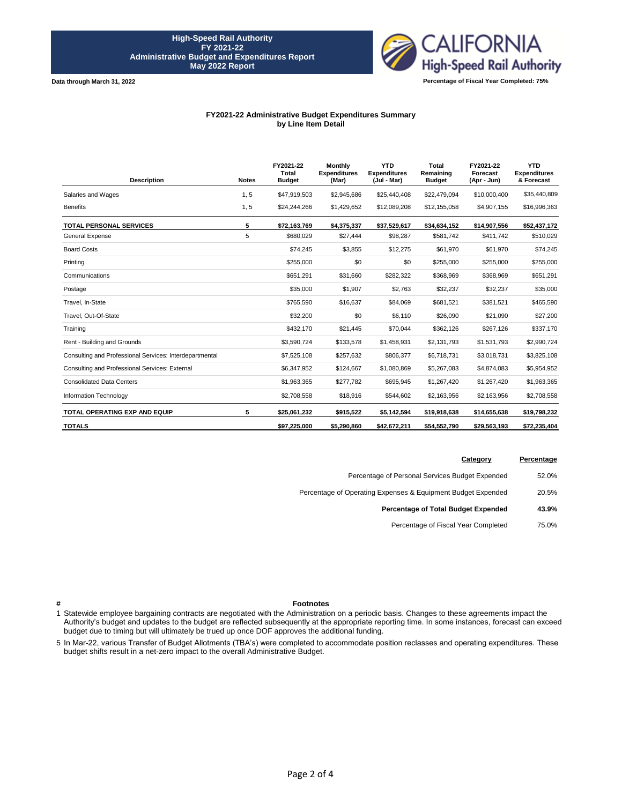**Data through March 31, 2022**



**Percentage of Fiscal Year Completed: 75%**

#### **FY2021-22 Administrative Budget Expenditures Summary by Line Item Detail**

| <b>Description</b>                                      | <b>Notes</b> | FY2021-22<br>Total<br><b>Budget</b> | <b>Monthly</b><br><b>Expenditures</b><br>(Mar) | <b>YTD</b><br><b>Expenditures</b><br>(Jul - Mar) | Total<br>Remaining<br><b>Budget</b> | FY2021-22<br>Forecast<br>(Apr - Jun) | <b>YTD</b><br><b>Expenditures</b><br>& Forecast |
|---------------------------------------------------------|--------------|-------------------------------------|------------------------------------------------|--------------------------------------------------|-------------------------------------|--------------------------------------|-------------------------------------------------|
| Salaries and Wages                                      | 1, 5         | \$47,919,503                        | \$2,945,686                                    | \$25,440,408                                     | \$22,479,094                        | \$10,000,400                         | \$35,440,809                                    |
| <b>Benefits</b>                                         | 1, 5         | \$24,244,266                        | \$1,429,652                                    | \$12,089,208                                     | \$12,155,058                        | \$4,907,155                          | \$16,996,363                                    |
| <b>TOTAL PERSONAL SERVICES</b>                          | 5            | \$72,163,769                        | \$4,375,337                                    | \$37,529,617                                     | \$34,634,152                        | \$14,907,556                         | \$52,437,172                                    |
| <b>General Expense</b>                                  | 5            | \$680.029                           | \$27,444                                       | \$98,287                                         | \$581,742                           | \$411,742                            | \$510,029                                       |
| <b>Board Costs</b>                                      |              | \$74,245                            | \$3,855                                        | \$12,275                                         | \$61,970                            | \$61,970                             | \$74,245                                        |
| Printing                                                |              | \$255,000                           | \$0                                            | \$0                                              | \$255,000                           | \$255,000                            | \$255,000                                       |
| Communications                                          |              | \$651,291                           | \$31,660                                       | \$282,322                                        | \$368,969                           | \$368,969                            | \$651,291                                       |
| Postage                                                 |              | \$35,000                            | \$1,907                                        | \$2,763                                          | \$32,237                            | \$32,237                             | \$35,000                                        |
| Travel. In-State                                        |              | \$765,590                           | \$16,637                                       | \$84,069                                         | \$681,521                           | \$381,521                            | \$465,590                                       |
| Travel, Out-Of-State                                    |              | \$32,200                            | \$0                                            | \$6,110                                          | \$26,090                            | \$21,090                             | \$27,200                                        |
| Training                                                |              | \$432,170                           | \$21,445                                       | \$70,044                                         | \$362,126                           | \$267,126                            | \$337,170                                       |
| Rent - Building and Grounds                             |              | \$3,590,724                         | \$133,578                                      | \$1,458,931                                      | \$2,131,793                         | \$1.531.793                          | \$2,990,724                                     |
| Consulting and Professional Services: Interdepartmental |              | \$7,525,108                         | \$257,632                                      | \$806,377                                        | \$6,718,731                         | \$3,018,731                          | \$3,825,108                                     |
| Consulting and Professional Services: External          |              | \$6,347,952                         | \$124,667                                      | \$1,080,869                                      | \$5,267,083                         | \$4,874,083                          | \$5,954,952                                     |
| <b>Consolidated Data Centers</b>                        |              | \$1,963,365                         | \$277,782                                      | \$695,945                                        | \$1,267,420                         | \$1,267,420                          | \$1,963,365                                     |
| Information Technology                                  |              | \$2,708,558                         | \$18,916                                       | \$544,602                                        | \$2,163,956                         | \$2,163,956                          | \$2,708,558                                     |
| <b>TOTAL OPERATING EXP AND EQUIP</b>                    | 5            | \$25,061,232                        | \$915,522                                      | \$5,142,594                                      | \$19,918,638                        | \$14,655,638                         | \$19,798,232                                    |
| <b>TOTALS</b>                                           |              | \$97,225,000                        | \$5,290,860                                    | \$42,672,211                                     | \$54,552,790                        | \$29,563,193                         | \$72,235,404                                    |

| Category                                                     | Percentage |
|--------------------------------------------------------------|------------|
| Percentage of Personal Services Budget Expended              | 52.0%      |
| Percentage of Operating Expenses & Equipment Budget Expended | 20.5%      |
| Percentage of Total Budget Expended                          | 43.9%      |
| Percentage of Fiscal Year Completed                          | 75.0%      |

**#**

## **Footnotes**

1 Statewide employee bargaining contracts are negotiated with the Administration on a periodic basis. Changes to these agreements impact the Authority's budget and updates to the budget are reflected subsequently at the appropriate reporting time. In some instances, forecast can exceed budget due to timing but will ultimately be trued up once DOF approves the additional funding.

5 In Mar-22, various Transfer of Budget Allotments (TBA's) were completed to accommodate position reclasses and operating expenditures. These budget shifts result in a net-zero impact to the overall Administrative Budget.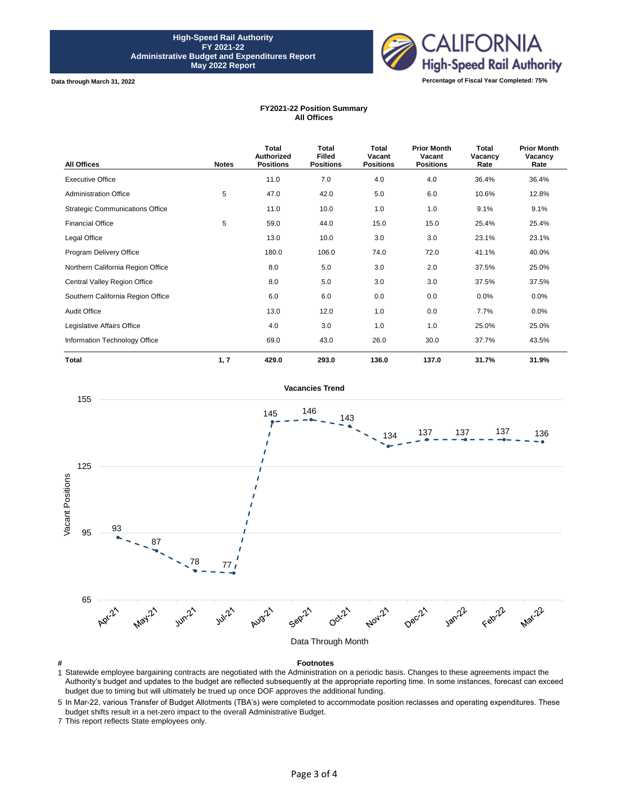

**Data through March 31, 2022**

### **FY2021-22 Position Summary All Offices**

| <b>All Offices</b>                     | <b>Notes</b> | <b>Total</b><br><b>Authorized</b><br><b>Positions</b> | Total<br><b>Filled</b><br><b>Positions</b> | Total<br>Vacant<br><b>Positions</b> | <b>Prior Month</b><br>Vacant<br><b>Positions</b> | Total<br>Vacancy<br>Rate | <b>Prior Month</b><br>Vacancy<br>Rate |
|----------------------------------------|--------------|-------------------------------------------------------|--------------------------------------------|-------------------------------------|--------------------------------------------------|--------------------------|---------------------------------------|
| <b>Executive Office</b>                |              | 11.0                                                  | 7.0                                        | 4.0                                 | 4.0                                              | 36.4%                    | 36.4%                                 |
| <b>Administration Office</b>           | 5            | 47.0                                                  | 42.0                                       | 5.0                                 | 6.0                                              | 10.6%                    | 12.8%                                 |
| <b>Strategic Communications Office</b> |              | 11.0                                                  | 10.0                                       | 1.0                                 | 1.0                                              | 9.1%                     | 9.1%                                  |
| <b>Financial Office</b>                | 5            | 59.0                                                  | 44.0                                       | 15.0                                | 15.0                                             | 25.4%                    | 25.4%                                 |
| Legal Office                           |              | 13.0                                                  | 10.0                                       | 3.0                                 | 3.0                                              | 23.1%                    | 23.1%                                 |
| Program Delivery Office                |              | 180.0                                                 | 106.0                                      | 74.0                                | 72.0                                             | 41.1%                    | 40.0%                                 |
| Northern California Region Office      |              | 8.0                                                   | 5.0                                        | 3.0                                 | 2.0                                              | 37.5%                    | 25.0%                                 |
| Central Valley Region Office           |              | 8.0                                                   | 5.0                                        | 3.0                                 | 3.0                                              | 37.5%                    | 37.5%                                 |
| Southern California Region Office      |              | 6.0                                                   | 6.0                                        | 0.0                                 | 0.0                                              | 0.0%                     | 0.0%                                  |
| <b>Audit Office</b>                    |              | 13.0                                                  | 12.0                                       | 1.0                                 | 0.0                                              | 7.7%                     | 0.0%                                  |
| Legislative Affairs Office             |              | 4.0                                                   | 3.0                                        | 1.0                                 | 1.0                                              | 25.0%                    | 25.0%                                 |
| Information Technology Office          |              | 69.0                                                  | 43.0                                       | 26.0                                | 30.0                                             | 37.7%                    | 43.5%                                 |
| <b>Total</b>                           | 1, 7         | 429.0                                                 | 293.0                                      | 136.0                               | 137.0                                            | 31.7%                    | 31.9%                                 |



**#**

1 Statewide employee bargaining contracts are negotiated with the Administration on a periodic basis. Changes to these agreements impact the Authority's budget and updates to the budget are reflected subsequently at the appropriate reporting time. In some instances, forecast can exceed budget due to timing but will ultimately be trued up once DOF approves the additional funding.

5 In Mar-22, various Transfer of Budget Allotments (TBA's) were completed to accommodate position reclasses and operating expenditures. These budget shifts result in a net-zero impact to the overall Administrative Budget.

7 This report reflects State employees only.